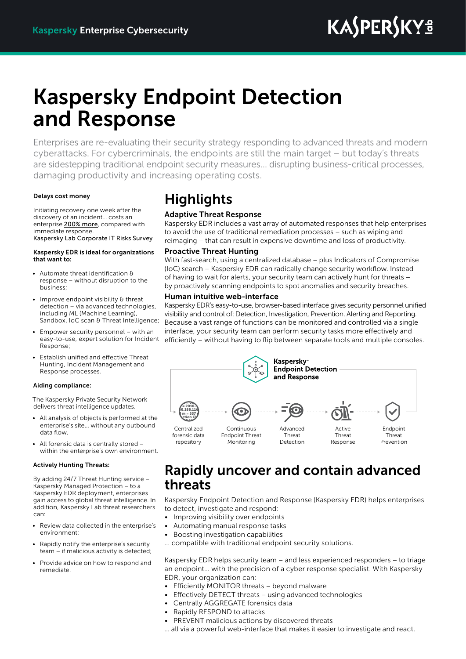# **KASPERSKYS**

## Kaspersky Endpoint Detection and Response

Enterprises are re-evaluating their security strategy responding to advanced threats and modern cyberattacks. For cybercriminals, the endpoints are still the main target – but today's threats are sidestepping traditional endpoint security measures… disrupting business-critical processes, damaging productivity and increasing operating costs.

### Delays cost money

Initiating recovery one week after the discovery of an incident… costs an enterprise 200% more, compared with immediate response. Kaspersky Lab Corporate IT Risks Survey

#### Kaspersky EDR is ideal for organizations that want to:

- Automate threat identification & response – without disruption to the business;
- Improve endpoint visibility & threat detection – via advanced technologies, including ML (Machine Learning), Sandbox, IoC scan & Threat Intelligence;
- Empower security personnel with an easy-to-use, expert solution for Incident Response;
- Establish unified and effective Threat Hunting, Incident Management and Response processes.

### Aiding compliance:

The Kaspersky Private Security Network delivers threat intelligence updates.

- All analysis of objects is performed at the enterprise's site… without any outbound data flow.
- All forensic data is centrally stored within the enterprise's own environment.

#### Actively Hunting Threats:

By adding 24/7 Threat Hunting service – Kaspersky Managed Protection – to a Kaspersky EDR deployment, enterprises gain access to global threat intelligence. In addition, Kaspersky Lab threat researchers can:

- Review data collected in the enterprise's environment;
- Rapidly notify the enterprise's security team – if malicious activity is detected;
- Provide advice on how to respond and remediate.

### **Highlights**

### Adaptive Threat Response

Kaspersky EDR includes a vast array of automated responses that help enterprises to avoid the use of traditional remediation processes – such as wiping and reimaging – that can result in expensive downtime and loss of productivity.

### Proactive Threat Hunting

With fast-search, using a centralized database – plus Indicators of Compromise (IoC) search – Kaspersky EDR can radically change security workflow. Instead of having to wait for alerts, your security team can actively hunt for threats – by proactively scanning endpoints to spot anomalies and security breaches.

### Human intuitive web-interface

Kaspersky EDR's easy-to-use, browser-based interface gives security personnel unified visibility and control of: Detection, Investigation, Prevention. Alerting and Reporting. Because a vast range of functions can be monitored and controlled via a single interface, your security team can perform security tasks more effectively and efficiently – without having to flip between separate tools and multiple consoles.



### Rapidly uncover and contain advanced threats

Kaspersky Endpoint Detection and Response (Kaspersky EDR) helps enterprises to detect, investigate and respond:

- Improving visibility over endpoints
- Automating manual response tasks
- Boosting investigation capabilities
- ... compatible with traditional endpoint security solutions.

Kaspersky EDR helps security team – and less experienced responders – to triage an endpoint… with the precision of a cyber response specialist. With Kaspersky EDR, your organization can:

- Efficiently MONITOR threats beyond malware
- Effectively DETECT threats using advanced technologies
- Centrally AGGREGATE forensics data
- Rapidly RESPOND to attacks
- PREVENT malicious actions by discovered threats
- … all via a powerful web-interface that makes it easier to investigate and react.